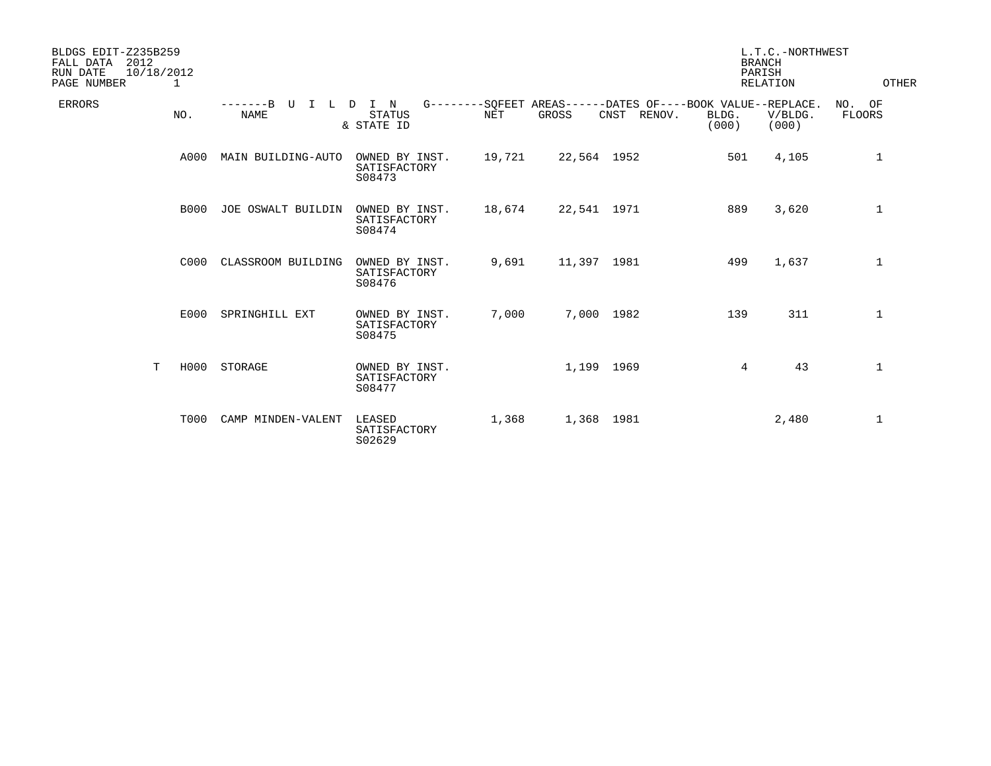| BLDGS EDIT-Z235B259<br>2012<br>FALL DATA<br>RUN DATE<br>10/18/2012<br>PAGE NUMBER | 1           |                                     |                                          |            |                                                                              |        | L.T.C.-NORTHWEST<br><b>BRANCH</b><br>PARISH<br>OTHER<br>RELATION |                  |                            |
|-----------------------------------------------------------------------------------|-------------|-------------------------------------|------------------------------------------|------------|------------------------------------------------------------------------------|--------|------------------------------------------------------------------|------------------|----------------------------|
| <b>ERRORS</b>                                                                     | NO.         | $-----B$ U<br>$\top$<br><b>NAME</b> | L D I N<br><b>STATUS</b><br>& STATE ID   | <b>NET</b> | G--------SQFEET AREAS------DATES OF----BOOK VALUE--REPLACE.<br>GROSS<br>CNST | RENOV. | BLDG.<br>(000)                                                   | V/BLDG.<br>(000) | NO.<br>OF<br><b>FLOORS</b> |
|                                                                                   | A000        | MAIN BUILDING-AUTO                  | OWNED BY INST.<br>SATISFACTORY<br>S08473 | 19,721     | 22,564 1952                                                                  |        | 501                                                              | 4,105            | $\mathbf 1$                |
|                                                                                   | <b>B000</b> | JOE OSWALT BUILDIN                  | OWNED BY INST.<br>SATISFACTORY<br>S08474 | 18,674     | 22,541 1971                                                                  |        | 889                                                              | 3,620            | $\mathbf 1$                |
|                                                                                   | C000        | CLASSROOM BUILDING                  | OWNED BY INST.<br>SATISFACTORY<br>S08476 | 9,691      | 11,397 1981                                                                  |        | 499                                                              | 1,637            | $\mathbf 1$                |
|                                                                                   | E000        | SPRINGHILL EXT                      | OWNED BY INST.<br>SATISFACTORY<br>S08475 | 7,000      | 7,000 1982                                                                   |        | 139                                                              | 311              | $\mathbf{1}$               |
| T                                                                                 | H000        | STORAGE                             | OWNED BY INST.<br>SATISFACTORY<br>S08477 |            | 1,199 1969                                                                   |        | 4                                                                | 43               | $\mathbf{1}$               |
|                                                                                   | <b>T000</b> | CAMP MINDEN-VALENT                  | LEASED<br>SATISFACTORY<br>S02629         | 1,368      | 1,368 1981                                                                   |        |                                                                  | 2,480            | 1                          |